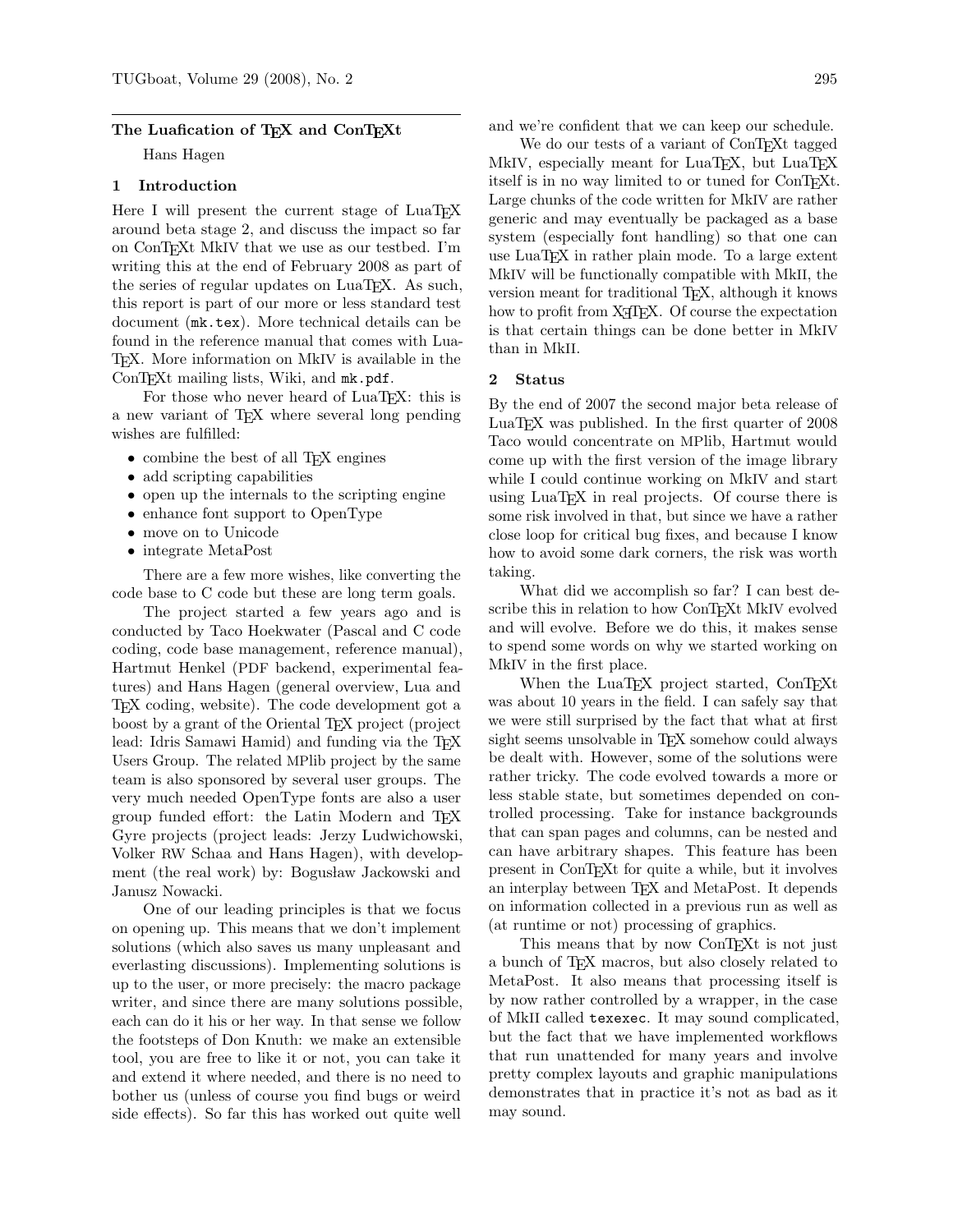### The Luafication of TEX and ConTEXt

Hans Hagen

# 1 Introduction

Here I will present the current stage of LuaT<sub>E</sub>X around beta stage 2, and discuss the impact so far on ConTEXt MkIV that we use as our testbed. I'm writing this at the end of February 2008 as part of the series of regular updates on LuaT<sub>EX</sub>. As such, this report is part of our more or less standard test document (mk.tex). More technical details can be found in the reference manual that comes with Lua-TEX. More information on MkIV is available in the ConT<sub>E</sub>Xt mailing lists, Wiki, and mk.pdf.

For those who never heard of LuaT<sub>EX</sub>: this is a new variant of TEX where several long pending wishes are fulfilled:

- combine the best of all T<sub>EX</sub> engines
- add scripting capabilities
- open up the internals to the scripting engine
- enhance font support to OpenType
- move on to Unicode
- integrate MetaPost

There are a few more wishes, like converting the code base to C code but these are long term goals.

The project started a few years ago and is conducted by Taco Hoekwater (Pascal and C code coding, code base management, reference manual), Hartmut Henkel (PDF backend, experimental features) and Hans Hagen (general overview, Lua and TEX coding, website). The code development got a boost by a grant of the Oriental TEX project (project lead: Idris Samawi Hamid) and funding via the T<sub>F</sub>X Users Group. The related MPlib project by the same team is also sponsored by several user groups. The very much needed OpenType fonts are also a user group funded effort: the Latin Modern and TEX Gyre projects (project leads: Jerzy Ludwichowski, Volker RW Schaa and Hans Hagen), with development (the real work) by: Bogusław Jackowski and Janusz Nowacki.

One of our leading principles is that we focus on opening up. This means that we don't implement solutions (which also saves us many unpleasant and everlasting discussions). Implementing solutions is up to the user, or more precisely: the macro package writer, and since there are many solutions possible, each can do it his or her way. In that sense we follow the footsteps of Don Knuth: we make an extensible tool, you are free to like it or not, you can take it and extend it where needed, and there is no need to bother us (unless of course you find bugs or weird side effects). So far this has worked out quite well

and we're confident that we can keep our schedule.

We do our tests of a variant of ConTEXt tagged MkIV, especially meant for LuaTEX, but LuaTEX itself is in no way limited to or tuned for ConTEXt. Large chunks of the code written for MkIV are rather generic and may eventually be packaged as a base system (especially font handling) so that one can use LuaTEX in rather plain mode. To a large extent MkIV will be functionally compatible with MkII, the version meant for traditional T<sub>E</sub>X, although it knows how to profit from X<sub>T</sub>T<sub>F</sub>X. Of course the expectation is that certain things can be done better in MkIV than in MkII.

#### 2 Status

By the end of 2007 the second major beta release of LuaT<sub>EX</sub> was published. In the first quarter of 2008 Taco would concentrate on MPlib, Hartmut would come up with the first version of the image library while I could continue working on MkIV and start using LuaT<sub>E</sub>X in real projects. Of course there is some risk involved in that, but since we have a rather close loop for critical bug fixes, and because I know how to avoid some dark corners, the risk was worth taking.

What did we accomplish so far? I can best describe this in relation to how ConTEXt MkIV evolved and will evolve. Before we do this, it makes sense to spend some words on why we started working on MkIV in the first place.

When the LuaTEX project started, ConTEXt was about 10 years in the field. I can safely say that we were still surprised by the fact that what at first sight seems unsolvable in T<sub>EX</sub> somehow could always be dealt with. However, some of the solutions were rather tricky. The code evolved towards a more or less stable state, but sometimes depended on controlled processing. Take for instance backgrounds that can span pages and columns, can be nested and can have arbitrary shapes. This feature has been present in ConTEXt for quite a while, but it involves an interplay between TEX and MetaPost. It depends on information collected in a previous run as well as (at runtime or not) processing of graphics.

This means that by now ConTEXt is not just a bunch of TEX macros, but also closely related to MetaPost. It also means that processing itself is by now rather controlled by a wrapper, in the case of MkII called texexec. It may sound complicated, but the fact that we have implemented workflows that run unattended for many years and involve pretty complex layouts and graphic manipulations demonstrates that in practice it's not as bad as it may sound.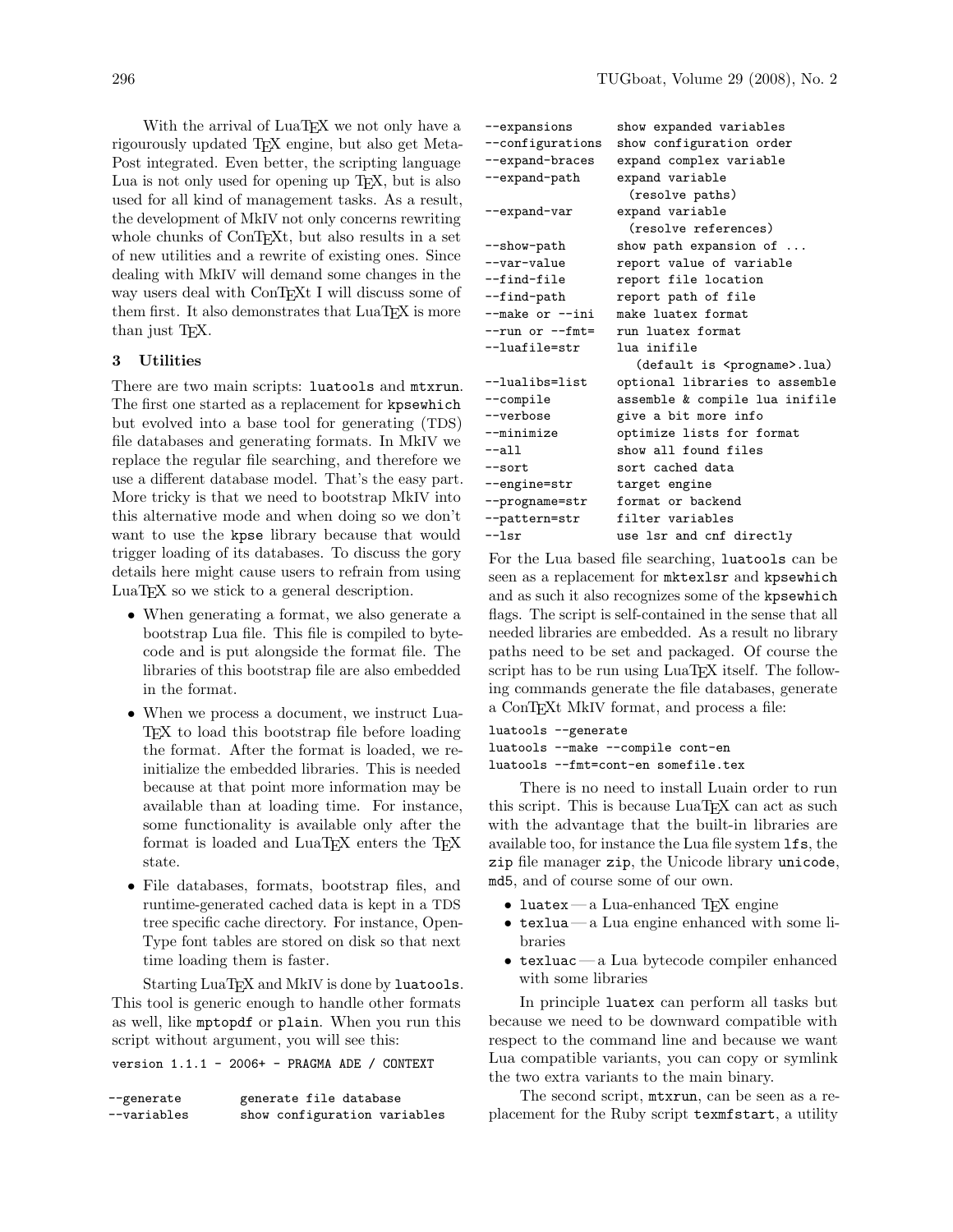With the arrival of LuaT<sub>EX</sub> we not only have a rigourously updated TEX engine, but also get Meta-Post integrated. Even better, the scripting language Lua is not only used for opening up TEX, but is also used for all kind of management tasks. As a result, the development of MkIV not only concerns rewriting whole chunks of ConT<sub>E</sub>X<sub>t</sub>, but also results in a set of new utilities and a rewrite of existing ones. Since dealing with MkIV will demand some changes in the way users deal with ConTEXt I will discuss some of them first. It also demonstrates that LuaT<sub>EX</sub> is more than just T<sub>F</sub>X.

## 3 Utilities

There are two main scripts: luatools and mtxrun. The first one started as a replacement for kpsewhich but evolved into a base tool for generating (TDS) file databases and generating formats. In MkIV we replace the regular file searching, and therefore we use a different database model. That's the easy part. More tricky is that we need to bootstrap MkIV into this alternative mode and when doing so we don't want to use the kpse library because that would trigger loading of its databases. To discuss the gory details here might cause users to refrain from using LuaTEX so we stick to a general description.

- When generating a format, we also generate a bootstrap Lua file. This file is compiled to bytecode and is put alongside the format file. The libraries of this bootstrap file are also embedded in the format.
- When we process a document, we instruct Lua-TEX to load this bootstrap file before loading the format. After the format is loaded, we reinitialize the embedded libraries. This is needed because at that point more information may be available than at loading time. For instance, some functionality is available only after the format is loaded and LuaT<sub>EX</sub> enters the T<sub>EX</sub> state.
- File databases, formats, bootstrap files, and runtime-generated cached data is kept in a TDS tree specific cache directory. For instance, Open-Type font tables are stored on disk so that next time loading them is faster.

Starting LuaT<sub>E</sub>X and MkIV is done by luatools. This tool is generic enough to handle other formats as well, like mptopdf or plain. When you run this script without argument, you will see this:

version 1.1.1 - 2006+ - PRAGMA ADE / CONTEXT

| --generate   | generate file database       |
|--------------|------------------------------|
| $-variables$ | show configuration variables |

| --expansions        | show expanded variables                |
|---------------------|----------------------------------------|
| --configurations    | show configuration order               |
| --expand-braces     | expand complex variable                |
| --expand-path       | expand variable                        |
|                     | (resolve paths)                        |
| --expand-var        | expand variable                        |
|                     | (resolve references)                   |
| --show-path         | show path expansion of                 |
| --var-value         | report value of variable               |
| --find-file         | report file location                   |
| --find-path         | report path of file                    |
| $--make or --ini$   | make luatex format                     |
| $--run$ or $--fmt=$ | run luatex format                      |
| --luafile=str       | lua inifile                            |
|                     | (default is <progname>.lua)</progname> |
| --lualibs=list      | optional libraries to assemble         |
| --compile           | assemble & compile lua inifile         |
| --verbose           | give a bit more info                   |
| --minimize          | optimize lists for format              |
| $--a11$             | show all found files                   |
| $-$ sort            | sort cached data                       |
| --engine=str        | target engine                          |
| --progname=str      | format or backend                      |
| --pattern=str       | filter variables                       |
| $-1sr$              | use lsr and cnf directly               |

For the Lua based file searching, luatools can be seen as a replacement for mktexlsr and kpsewhich and as such it also recognizes some of the kpsewhich flags. The script is self-contained in the sense that all needed libraries are embedded. As a result no library paths need to be set and packaged. Of course the script has to be run using LuaT<sub>E</sub>X itself. The following commands generate the file databases, generate a ConTEXt MkIV format, and process a file:

```
luatools --generate
luatools --make --compile cont-en
luatools --fmt=cont-en somefile.tex
```
There is no need to install Luain order to run this script. This is because LuaTFX can act as such with the advantage that the built-in libraries are available too, for instance the Lua file system lfs, the zip file manager zip, the Unicode library unicode, md5, and of course some of our own.

- luatex a Lua-enhanced TEX engine
- texlua— a Lua engine enhanced with some libraries
- texluac— a Lua bytecode compiler enhanced with some libraries

In principle luatex can perform all tasks but because we need to be downward compatible with respect to the command line and because we want Lua compatible variants, you can copy or symlink the two extra variants to the main binary.

The second script, mtxrun, can be seen as a replacement for the Ruby script texmfstart, a utility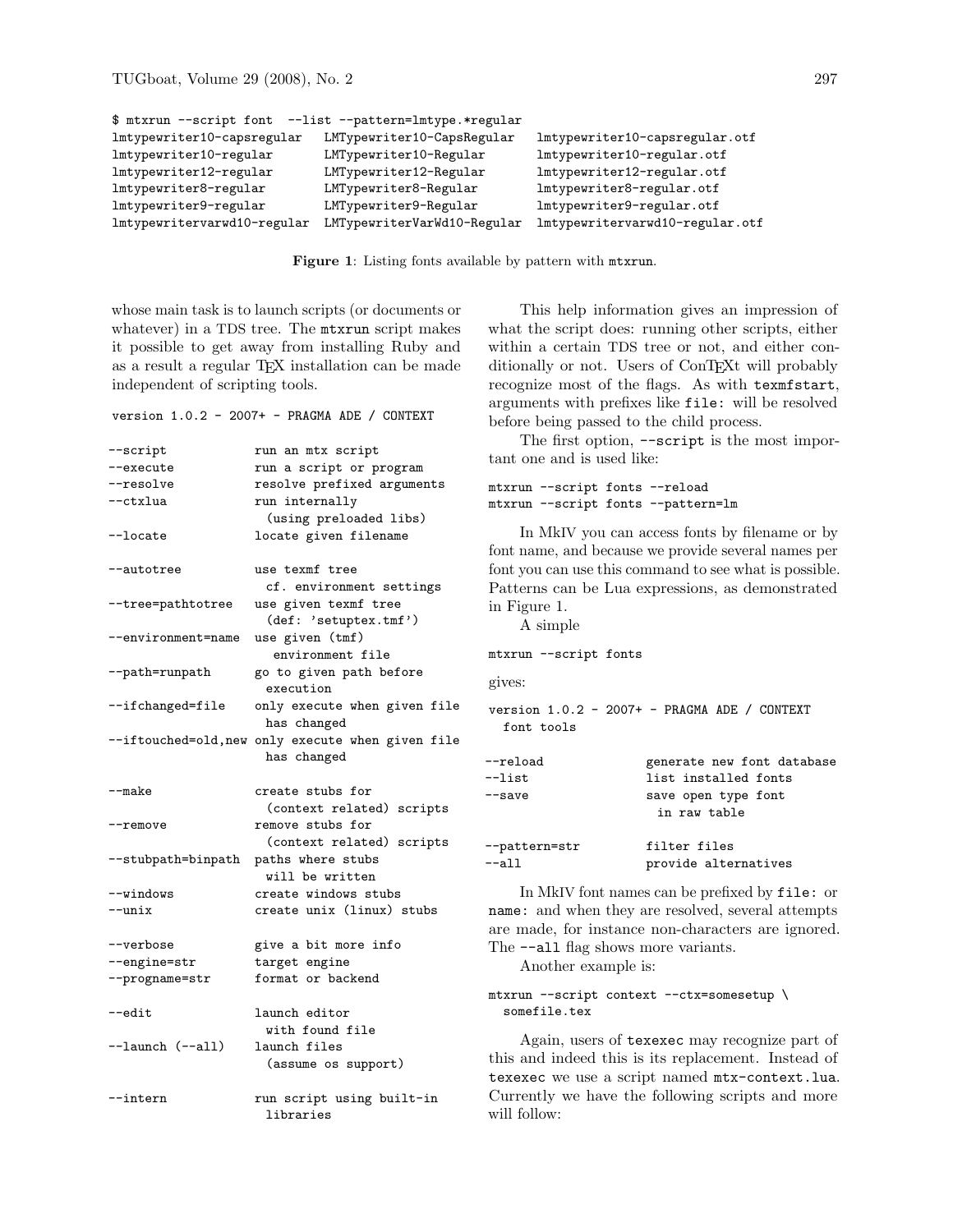```
$ mtxrun --script font --list --pattern=lmtype.*regular
lmtypewriter10-capsregular LMTypewriter10-CapsRegular lmtypewriter10-capsregular.otf
lmtypewriter10-regular LMTypewriter10-Regular lmtypewriter10-regular.otf
lmtypewriter12-regular LMTypewriter12-Regular lmtypewriter12-regular.otf
lmtypewriter8-regular LMTypewriter8-Regular lmtypewriter8-regular.otf
lmtypewriter9-regular LMTypewriter9-Regular lmtypewriter9-regular.otf
lmtypewritervarwd10-regular LMTypewriterVarWd10-Regular lmtypewritervarwd10-regular.otf
```
Figure 1: Listing fonts available by pattern with mtxrun.

whose main task is to launch scripts (or documents or whatever) in a TDS tree. The mtxrun script makes it possible to get away from installing Ruby and as a result a regular TEX installation can be made independent of scripting tools.

version 1.0.2 - 2007+ - PRAGMA ADE / CONTEXT

| $-$ script                     | run an mtx script                                 |
|--------------------------------|---------------------------------------------------|
| --execute                      | run a script or program                           |
| --resolve                      | resolve prefixed arguments                        |
| --ctxlua                       | run internally                                    |
|                                | (using preloaded libs)                            |
| --locate                       | locate given filename                             |
| --autotree                     | use texmf tree                                    |
|                                | cf. environment settings                          |
| --tree=pathtotree              | use given texmf tree<br>(def: 'setuptex.tmf')     |
| --environment=name             | use given (tmf)                                   |
|                                | environment file                                  |
| --path=runpath                 | go to given path before                           |
|                                | execution                                         |
| --ifchanged=file               | only execute when given file                      |
|                                | has changed                                       |
|                                | --iftouched=old, new only execute when given file |
|                                | has changed                                       |
| --make                         | create stubs for                                  |
|                                | (context related) scripts                         |
| --remove                       | remove stubs for                                  |
|                                | (context related) scripts                         |
| --stubpath=binpath             | paths where stubs                                 |
|                                | will be written                                   |
| --windows                      | create windows stubs                              |
| --unix                         | create unix (linux) stubs                         |
|                                |                                                   |
| --verbose                      | give a bit more info                              |
| --engine=str<br>--progname=str | target engine<br>format or backend                |
|                                |                                                   |
| --edit                         | launch editor                                     |
|                                | with found file                                   |
| $-1$ aunch $(-all)$            | launch files                                      |
|                                | (assume os support)                               |
| --intern                       | run script using built-in                         |
|                                | libraries                                         |

This help information gives an impression of what the script does: running other scripts, either within a certain TDS tree or not, and either conditionally or not. Users of ConTEXt will probably recognize most of the flags. As with texmfstart, arguments with prefixes like file: will be resolved before being passed to the child process.

The first option,  $--$ script is the most important one and is used like:

```
mtxrun --script fonts --reload
mtxrun --script fonts --pattern=lm
```
In MkIV you can access fonts by filename or by font name, and because we provide several names per font you can use this command to see what is possible. Patterns can be Lua expressions, as demonstrated in Figure 1.

A simple

```
mtxrun --script fonts
```
gives:

version 1.0.2 - 2007+ - PRAGMA ADE / CONTEXT font tools

| $-\text{reload}$ | generate new font database          |
|------------------|-------------------------------------|
| $-$ list         | list installed fonts                |
| $-$ save         | save open type font<br>in raw table |
| --pattern=str    | filter files                        |
| $--a11$          | provide alternatives                |

In MkIV font names can be prefixed by file: or name: and when they are resolved, several attempts are made, for instance non-characters are ignored. The  $-$ -all flag shows more variants.

Another example is:

### mtxrun --script context --ctx=somesetup \ somefile.tex

Again, users of texexec may recognize part of this and indeed this is its replacement. Instead of texexec we use a script named mtx-context.lua. Currently we have the following scripts and more will follow: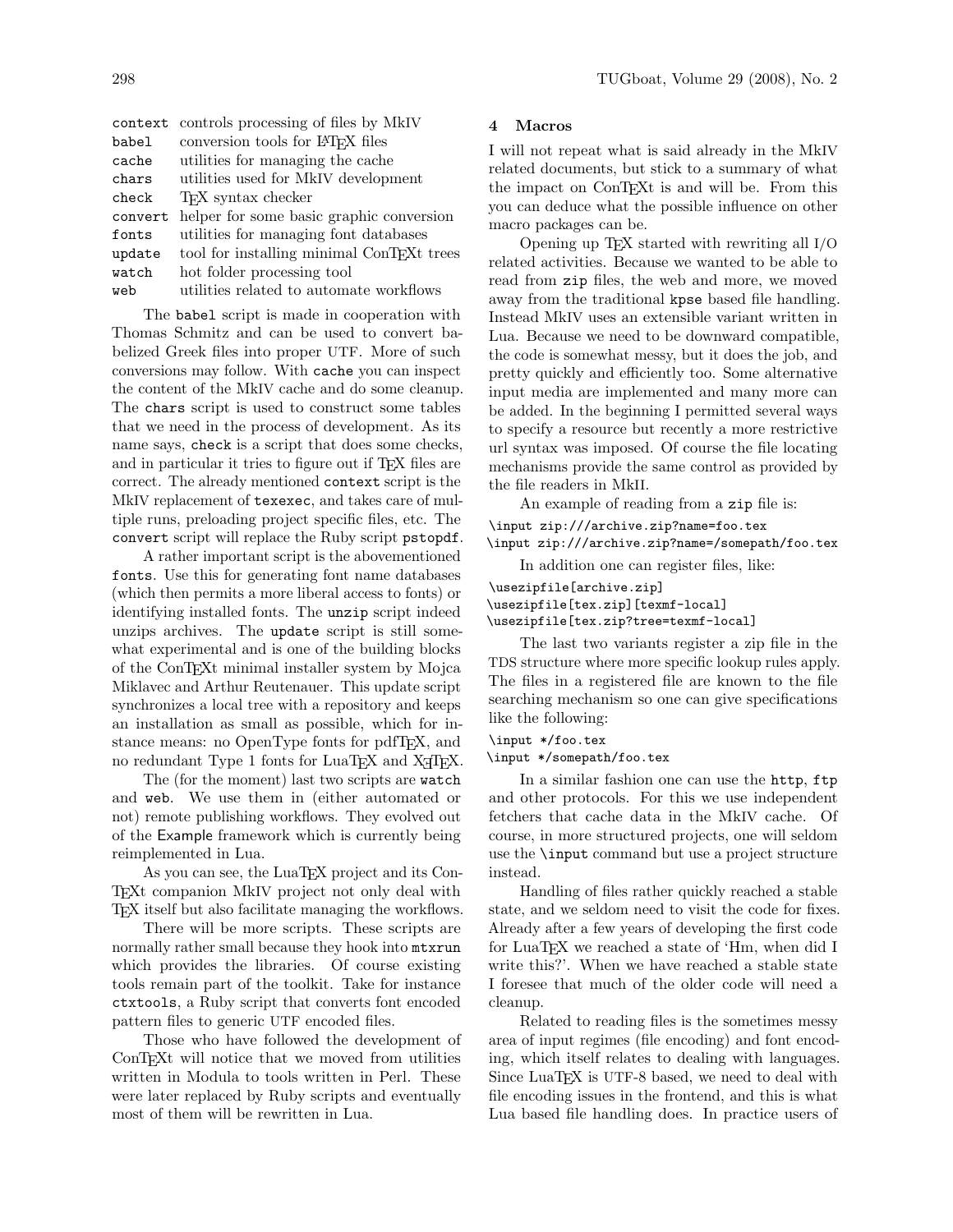| context | controls processing of files by MkIV                   |
|---------|--------------------------------------------------------|
| babel   | conversion tools for L <sup>AT</sup> FX files          |
| cache   | utilities for managing the cache                       |
| chars   | utilities used for MkIV development                    |
| check   | <b>TFX</b> syntax checker                              |
| convert | helper for some basic graphic conversion               |
| fonts   | utilities for managing font databases                  |
| update  | tool for installing minimal ConT <sub>F</sub> Xt trees |
| watch   | hot folder processing tool                             |
| web     | utilities related to automate workflows                |

The babel script is made in cooperation with Thomas Schmitz and can be used to convert babelized Greek files into proper UTF. More of such conversions may follow. With cache you can inspect the content of the MkIV cache and do some cleanup. The chars script is used to construct some tables that we need in the process of development. As its name says, check is a script that does some checks, and in particular it tries to figure out if T<sub>E</sub>X files are correct. The already mentioned context script is the MkIV replacement of texexec, and takes care of multiple runs, preloading project specific files, etc. The convert script will replace the Ruby script pstopdf.

A rather important script is the abovementioned fonts. Use this for generating font name databases (which then permits a more liberal access to fonts) or identifying installed fonts. The unzip script indeed unzips archives. The update script is still somewhat experimental and is one of the building blocks of the ConTEXt minimal installer system by Mojca Miklavec and Arthur Reutenauer. This update script synchronizes a local tree with a repository and keeps an installation as small as possible, which for instance means: no OpenType fonts for pdfT<sub>F</sub>X, and no redundant Type 1 fonts for LuaTEX and X<sub>T</sub>TEX.

The (for the moment) last two scripts are watch and web. We use them in (either automated or not) remote publishing workflows. They evolved out of the Example framework which is currently being reimplemented in Lua.

As you can see, the LuaTEX project and its Con-TEXt companion MkIV project not only deal with TEX itself but also facilitate managing the workflows.

There will be more scripts. These scripts are normally rather small because they hook into mtxrun which provides the libraries. Of course existing tools remain part of the toolkit. Take for instance ctxtools, a Ruby script that converts font encoded pattern files to generic UTF encoded files.

Those who have followed the development of ConT<sub>E</sub>X<sup>t</sup> will notice that we moved from utilities written in Modula to tools written in Perl. These were later replaced by Ruby scripts and eventually most of them will be rewritten in Lua.

## 4 Macros

I will not repeat what is said already in the MkIV related documents, but stick to a summary of what the impact on ConTEXt is and will be. From this you can deduce what the possible influence on other macro packages can be.

Opening up TEX started with rewriting all I/O related activities. Because we wanted to be able to read from zip files, the web and more, we moved away from the traditional kpse based file handling. Instead MkIV uses an extensible variant written in Lua. Because we need to be downward compatible, the code is somewhat messy, but it does the job, and pretty quickly and efficiently too. Some alternative input media are implemented and many more can be added. In the beginning I permitted several ways to specify a resource but recently a more restrictive url syntax was imposed. Of course the file locating mechanisms provide the same control as provided by the file readers in MkII.

An example of reading from a zip file is: \input zip:///archive.zip?name=foo.tex

\input zip:///archive.zip?name=/somepath/foo.tex

In addition one can register files, like:

\usezipfile[archive.zip] \usezipfile[tex.zip][texmf-local] \usezipfile[tex.zip?tree=texmf-local]

The last two variants register a zip file in the TDS structure where more specific lookup rules apply. The files in a registered file are known to the file searching mechanism so one can give specifications like the following:

### \input \*/foo.tex

#### \input \*/somepath/foo.tex

In a similar fashion one can use the http, ftp and other protocols. For this we use independent fetchers that cache data in the MkIV cache. Of course, in more structured projects, one will seldom use the \input command but use a project structure instead.

Handling of files rather quickly reached a stable state, and we seldom need to visit the code for fixes. Already after a few years of developing the first code for LuaT<sub>EX</sub> we reached a state of 'Hm, when did I write this?'. When we have reached a stable state I foresee that much of the older code will need a cleanup.

Related to reading files is the sometimes messy area of input regimes (file encoding) and font encoding, which itself relates to dealing with languages. Since LuaTEX is UTF-8 based, we need to deal with file encoding issues in the frontend, and this is what Lua based file handling does. In practice users of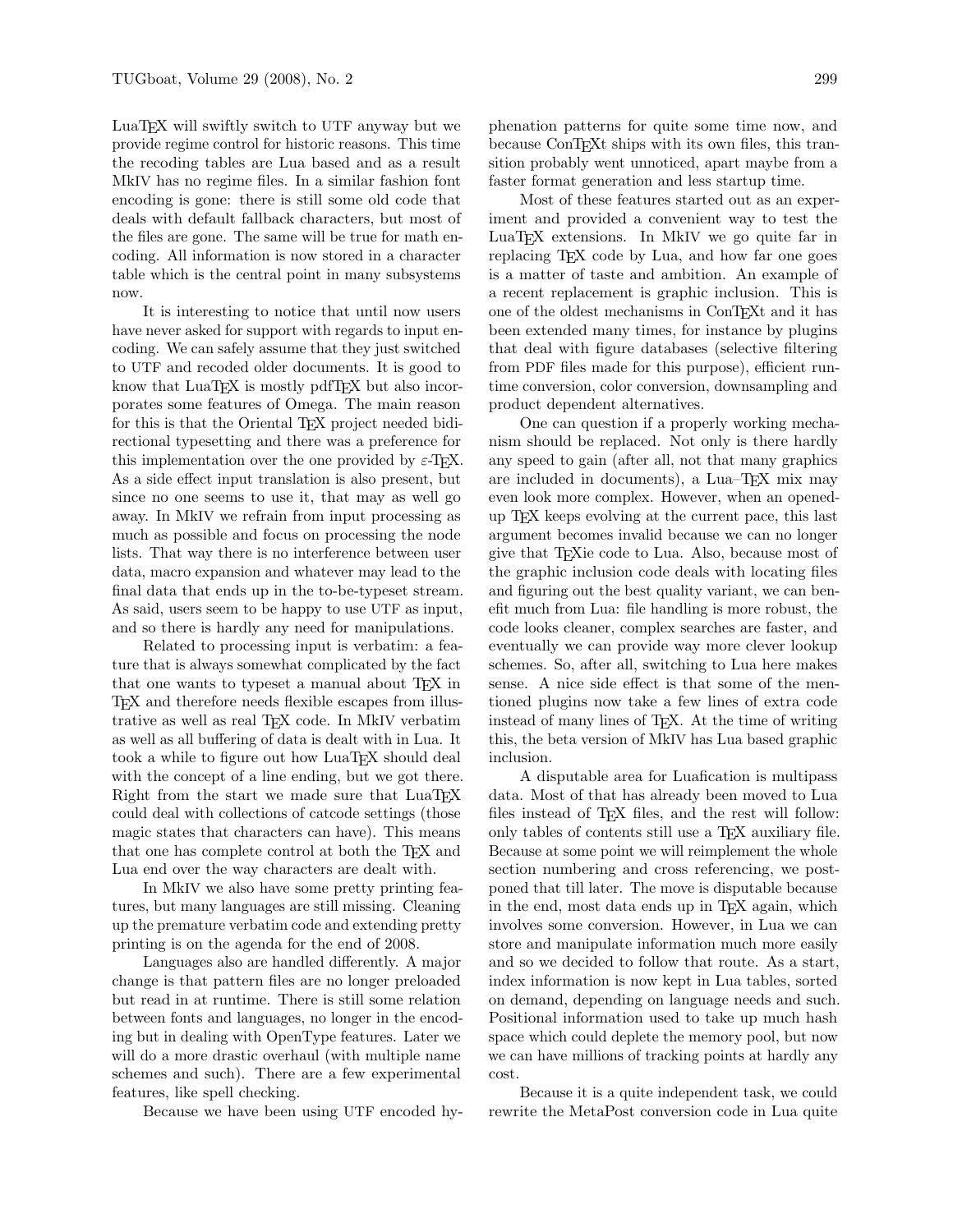LuaTEX will swiftly switch to UTF anyway but we provide regime control for historic reasons. This time the recoding tables are Lua based and as a result MkIV has no regime files. In a similar fashion font encoding is gone: there is still some old code that deals with default fallback characters, but most of the files are gone. The same will be true for math encoding. All information is now stored in a character table which is the central point in many subsystems now.

It is interesting to notice that until now users have never asked for support with regards to input encoding. We can safely assume that they just switched to UTF and recoded older documents. It is good to know that LuaTEX is mostly pdfTEX but also incorporates some features of Omega. The main reason for this is that the Oriental T<sub>EX</sub> project needed bidirectional typesetting and there was a preference for this implementation over the one provided by  $\varepsilon$ -T<sub>E</sub>X. As a side effect input translation is also present, but since no one seems to use it, that may as well go away. In MkIV we refrain from input processing as much as possible and focus on processing the node lists. That way there is no interference between user data, macro expansion and whatever may lead to the final data that ends up in the to-be-typeset stream. As said, users seem to be happy to use UTF as input, and so there is hardly any need for manipulations.

Related to processing input is verbatim: a feature that is always somewhat complicated by the fact that one wants to typeset a manual about T<sub>E</sub>X in TEX and therefore needs flexible escapes from illustrative as well as real TEX code. In MkIV verbatim as well as all buffering of data is dealt with in Lua. It took a while to figure out how LuaT<sub>EX</sub> should deal with the concept of a line ending, but we got there. Right from the start we made sure that LuaTEX could deal with collections of catcode settings (those magic states that characters can have). This means that one has complete control at both the TEX and Lua end over the way characters are dealt with.

In MkIV we also have some pretty printing features, but many languages are still missing. Cleaning up the premature verbatim code and extending pretty printing is on the agenda for the end of 2008.

Languages also are handled differently. A major change is that pattern files are no longer preloaded but read in at runtime. There is still some relation between fonts and languages, no longer in the encoding but in dealing with OpenType features. Later we will do a more drastic overhaul (with multiple name schemes and such). There are a few experimental features, like spell checking.

Because we have been using UTF encoded hy-

phenation patterns for quite some time now, and because ConTEXt ships with its own files, this transition probably went unnoticed, apart maybe from a faster format generation and less startup time.

Most of these features started out as an experiment and provided a convenient way to test the LuaT<sub>EX</sub> extensions. In MkIV we go quite far in replacing TEX code by Lua, and how far one goes is a matter of taste and ambition. An example of a recent replacement is graphic inclusion. This is one of the oldest mechanisms in ConTEXt and it has been extended many times, for instance by plugins that deal with figure databases (selective filtering from PDF files made for this purpose), efficient runtime conversion, color conversion, downsampling and product dependent alternatives.

One can question if a properly working mechanism should be replaced. Not only is there hardly any speed to gain (after all, not that many graphics are included in documents), a Lua–TEX mix may even look more complex. However, when an openedup TEX keeps evolving at the current pace, this last argument becomes invalid because we can no longer give that TEXie code to Lua. Also, because most of the graphic inclusion code deals with locating files and figuring out the best quality variant, we can benefit much from Lua: file handling is more robust, the code looks cleaner, complex searches are faster, and eventually we can provide way more clever lookup schemes. So, after all, switching to Lua here makes sense. A nice side effect is that some of the mentioned plugins now take a few lines of extra code instead of many lines of TEX. At the time of writing this, the beta version of MkIV has Lua based graphic inclusion.

A disputable area for Luafication is multipass data. Most of that has already been moved to Lua files instead of T<sub>E</sub>X files, and the rest will follow: only tables of contents still use a T<sub>EX</sub> auxiliary file. Because at some point we will reimplement the whole section numbering and cross referencing, we postponed that till later. The move is disputable because in the end, most data ends up in T<sub>F</sub>X again, which involves some conversion. However, in Lua we can store and manipulate information much more easily and so we decided to follow that route. As a start, index information is now kept in Lua tables, sorted on demand, depending on language needs and such. Positional information used to take up much hash space which could deplete the memory pool, but now we can have millions of tracking points at hardly any cost.

Because it is a quite independent task, we could rewrite the MetaPost conversion code in Lua quite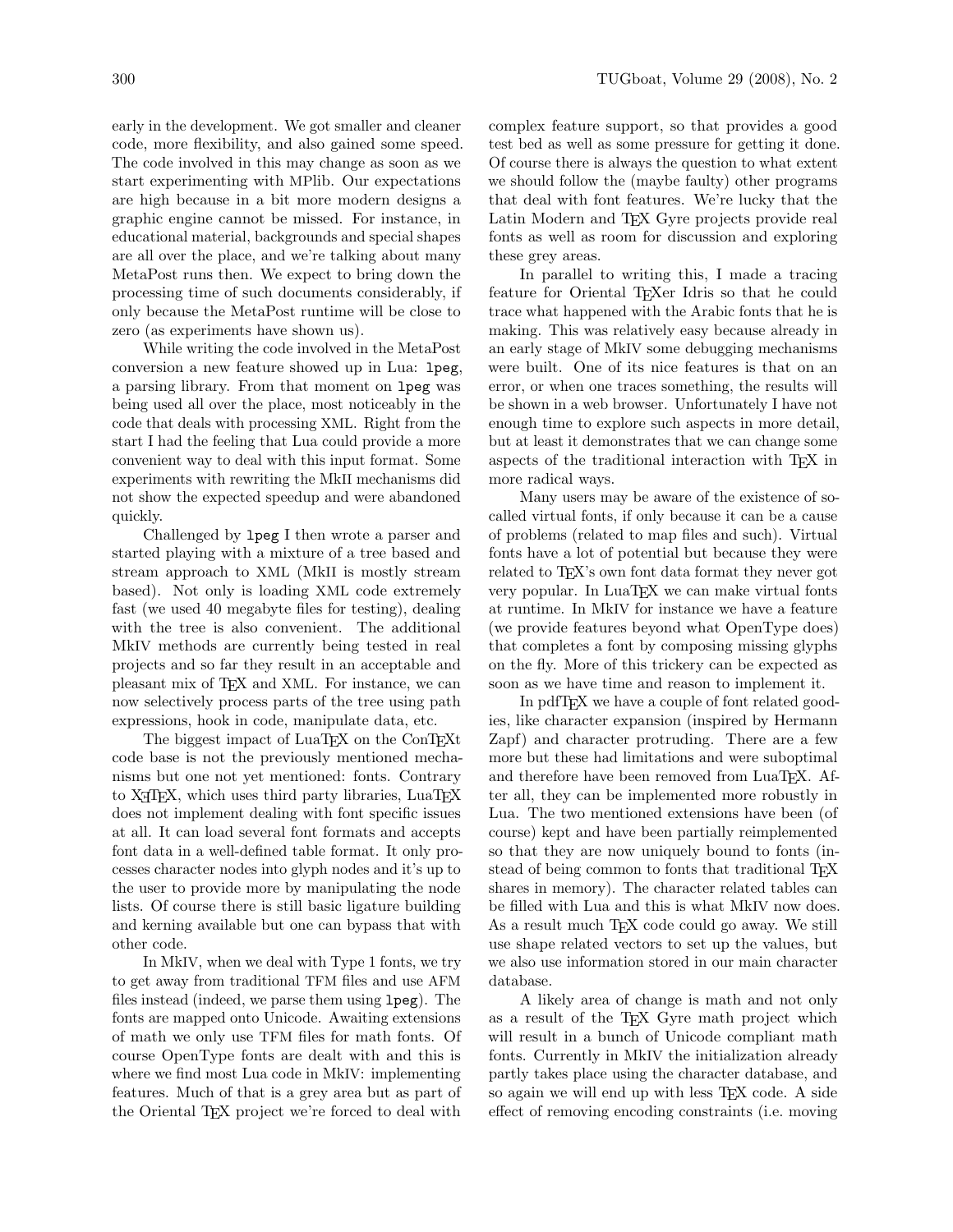early in the development. We got smaller and cleaner code, more flexibility, and also gained some speed. The code involved in this may change as soon as we start experimenting with MPlib. Our expectations are high because in a bit more modern designs a graphic engine cannot be missed. For instance, in educational material, backgrounds and special shapes are all over the place, and we're talking about many MetaPost runs then. We expect to bring down the processing time of such documents considerably, if only because the MetaPost runtime will be close to zero (as experiments have shown us).

While writing the code involved in the MetaPost conversion a new feature showed up in Lua: lpeg, a parsing library. From that moment on lpeg was being used all over the place, most noticeably in the code that deals with processing XML. Right from the start I had the feeling that Lua could provide a more convenient way to deal with this input format. Some experiments with rewriting the MkII mechanisms did not show the expected speedup and were abandoned quickly.

Challenged by lpeg I then wrote a parser and started playing with a mixture of a tree based and stream approach to XML (MkII is mostly stream based). Not only is loading XML code extremely fast (we used 40 megabyte files for testing), dealing with the tree is also convenient. The additional MkIV methods are currently being tested in real projects and so far they result in an acceptable and pleasant mix of TEX and XML. For instance, we can now selectively process parts of the tree using path expressions, hook in code, manipulate data, etc.

The biggest impact of LuaT<sub>EX</sub> on the ConT<sub>EX</sub><sup>t</sup> code base is not the previously mentioned mechanisms but one not yet mentioned: fonts. Contrary to XATEX, which uses third party libraries, LuaTEX does not implement dealing with font specific issues at all. It can load several font formats and accepts font data in a well-defined table format. It only processes character nodes into glyph nodes and it's up to the user to provide more by manipulating the node lists. Of course there is still basic ligature building and kerning available but one can bypass that with other code.

In MkIV, when we deal with Type 1 fonts, we try to get away from traditional TFM files and use AFM files instead (indeed, we parse them using lpeg). The fonts are mapped onto Unicode. Awaiting extensions of math we only use TFM files for math fonts. Of course OpenType fonts are dealt with and this is where we find most Lua code in MkIV: implementing features. Much of that is a grey area but as part of the Oriental TEX project we're forced to deal with

complex feature support, so that provides a good test bed as well as some pressure for getting it done. Of course there is always the question to what extent we should follow the (maybe faulty) other programs that deal with font features. We're lucky that the Latin Modern and TEX Gyre projects provide real fonts as well as room for discussion and exploring these grey areas.

In parallel to writing this, I made a tracing feature for Oriental T<sub>E</sub>Xer Idris so that he could trace what happened with the Arabic fonts that he is making. This was relatively easy because already in an early stage of MkIV some debugging mechanisms were built. One of its nice features is that on an error, or when one traces something, the results will be shown in a web browser. Unfortunately I have not enough time to explore such aspects in more detail, but at least it demonstrates that we can change some aspects of the traditional interaction with TEX in more radical ways.

Many users may be aware of the existence of socalled virtual fonts, if only because it can be a cause of problems (related to map files and such). Virtual fonts have a lot of potential but because they were related to TEX's own font data format they never got very popular. In LuaT<sub>EX</sub> we can make virtual fonts at runtime. In MkIV for instance we have a feature (we provide features beyond what OpenType does) that completes a font by composing missing glyphs on the fly. More of this trickery can be expected as soon as we have time and reason to implement it.

In pdfTEX we have a couple of font related goodies, like character expansion (inspired by Hermann Zapf) and character protruding. There are a few more but these had limitations and were suboptimal and therefore have been removed from LuaTFX. After all, they can be implemented more robustly in Lua. The two mentioned extensions have been (of course) kept and have been partially reimplemented so that they are now uniquely bound to fonts (instead of being common to fonts that traditional T<sub>E</sub>X shares in memory). The character related tables can be filled with Lua and this is what MkIV now does. As a result much T<sub>EX</sub> code could go away. We still use shape related vectors to set up the values, but we also use information stored in our main character database.

A likely area of change is math and not only as a result of the TEX Gyre math project which will result in a bunch of Unicode compliant math fonts. Currently in MkIV the initialization already partly takes place using the character database, and so again we will end up with less T<sub>E</sub>X code. A side effect of removing encoding constraints (i.e. moving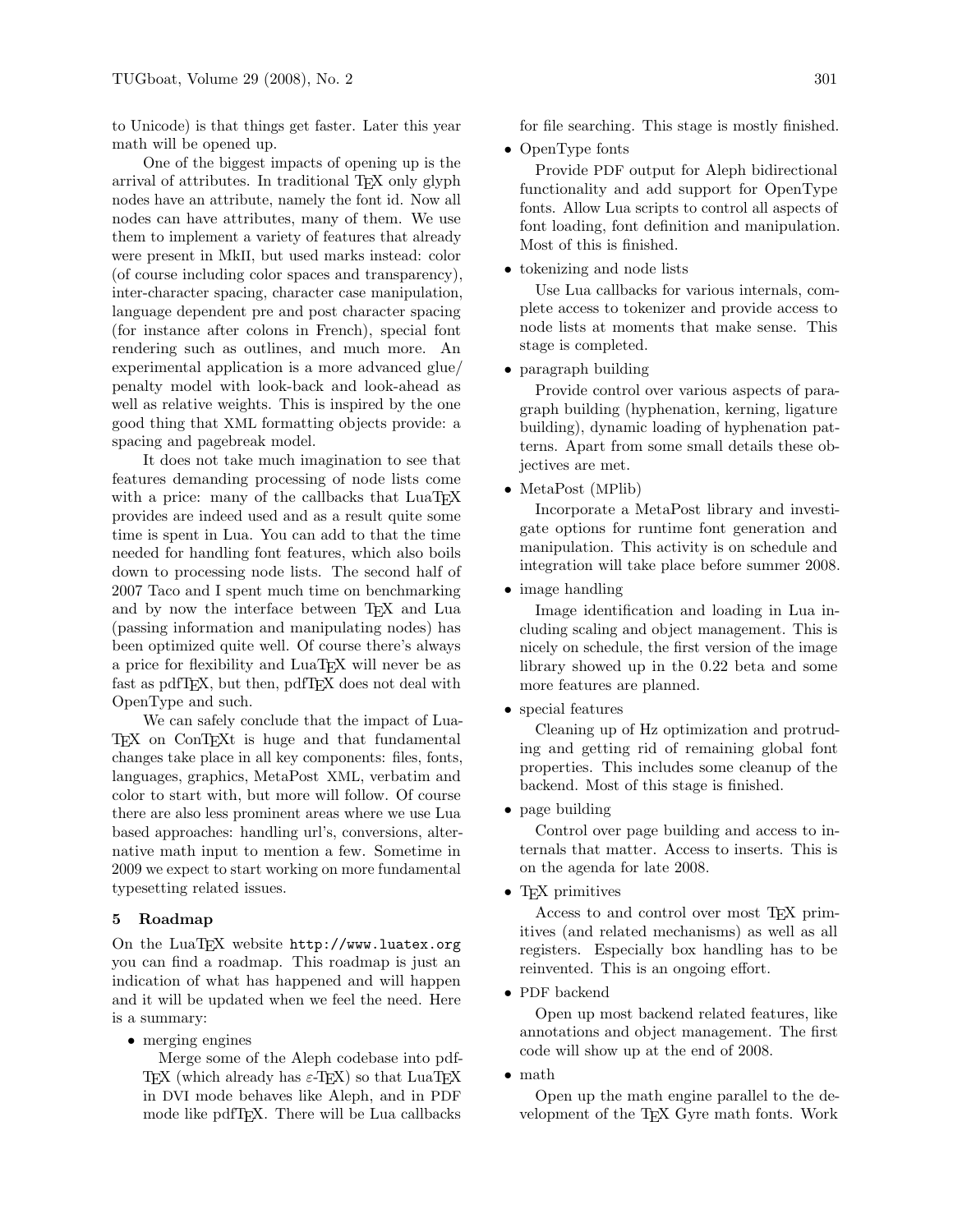to Unicode) is that things get faster. Later this year math will be opened up.

One of the biggest impacts of opening up is the arrival of attributes. In traditional TEX only glyph nodes have an attribute, namely the font id. Now all nodes can have attributes, many of them. We use them to implement a variety of features that already were present in MkII, but used marks instead: color (of course including color spaces and transparency), inter-character spacing, character case manipulation, language dependent pre and post character spacing (for instance after colons in French), special font rendering such as outlines, and much more. An experimental application is a more advanced glue/ penalty model with look-back and look-ahead as well as relative weights. This is inspired by the one good thing that XML formatting objects provide: a spacing and pagebreak model.

It does not take much imagination to see that features demanding processing of node lists come with a price: many of the callbacks that LuaT<sub>EX</sub> provides are indeed used and as a result quite some time is spent in Lua. You can add to that the time needed for handling font features, which also boils down to processing node lists. The second half of 2007 Taco and I spent much time on benchmarking and by now the interface between TFX and Lua (passing information and manipulating nodes) has been optimized quite well. Of course there's always a price for flexibility and LuaT<sub>EX</sub> will never be as fast as pdfT<sub>E</sub>X, but then, pdfT<sub>E</sub>X does not deal with OpenType and such.

We can safely conclude that the impact of Lua-TEX on ConTEXt is huge and that fundamental changes take place in all key components: files, fonts, languages, graphics, MetaPost XML, verbatim and color to start with, but more will follow. Of course there are also less prominent areas where we use Lua based approaches: handling url's, conversions, alternative math input to mention a few. Sometime in 2009 we expect to start working on more fundamental typesetting related issues.

#### 5 Roadmap

On the LuaTEX website http://www.luatex.org you can find a roadmap. This roadmap is just an indication of what has happened and will happen and it will be updated when we feel the need. Here is a summary:

• merging engines

Merge some of the Aleph codebase into pdf-TEX (which already has  $\varepsilon$ -TEX) so that LuaTEX in DVI mode behaves like Aleph, and in PDF mode like pdfTFX. There will be Lua callbacks

for file searching. This stage is mostly finished.

• OpenType fonts

Provide PDF output for Aleph bidirectional functionality and add support for OpenType fonts. Allow Lua scripts to control all aspects of font loading, font definition and manipulation. Most of this is finished.

• tokenizing and node lists

Use Lua callbacks for various internals, complete access to tokenizer and provide access to node lists at moments that make sense. This stage is completed.

• paragraph building

Provide control over various aspects of paragraph building (hyphenation, kerning, ligature building), dynamic loading of hyphenation patterns. Apart from some small details these objectives are met.

• MetaPost (MPlib)

Incorporate a MetaPost library and investigate options for runtime font generation and manipulation. This activity is on schedule and integration will take place before summer 2008.

• image handling

Image identification and loading in Lua including scaling and object management. This is nicely on schedule, the first version of the image library showed up in the 0.22 beta and some more features are planned.

• special features

Cleaning up of Hz optimization and protruding and getting rid of remaining global font properties. This includes some cleanup of the backend. Most of this stage is finished.

• page building

Control over page building and access to internals that matter. Access to inserts. This is on the agenda for late 2008.

• TEX primitives

Access to and control over most TEX primitives (and related mechanisms) as well as all registers. Especially box handling has to be reinvented. This is an ongoing effort.

• PDF backend

Open up most backend related features, like annotations and object management. The first code will show up at the end of 2008.

• math

Open up the math engine parallel to the development of the TEX Gyre math fonts. Work